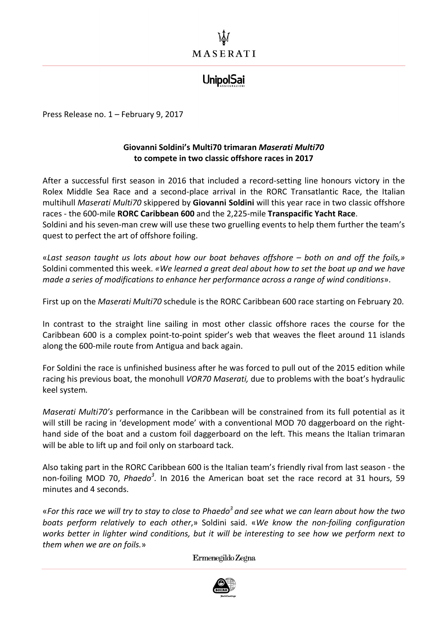## **UnipolSai**

Press Release no. 1 - February 9, 2017

## **Giovanni Soldini's Multi70 trimaran** *Maserati Multi70* to compete in two classic offshore races in 2017

After a successful first season in 2016 that included a record-setting line honours victory in the Rolex Middle Sea Race and a second-place arrival in the RORC Transatlantic Race, the Italian multihull *Maserati Multi70* skippered by **Giovanni Soldini** will this year race in two classic offshore races - the 600-mile **RORC Caribbean 600** and the 2,225-mile Transpacific Yacht Race. Soldini and his seven-man crew will use these two gruelling events to help them further the team's

quest to perfect the art of offshore foiling.

«*Last season taught us lots about how our boat behaves offshore – both on and off the foils,»* Soldini commented this week. «We learned a great deal about how to set the boat up and we have *made a series of modifications to enhance her performance across a range of wind conditions*».

First up on the *Maserati Multi70* schedule is the RORC Caribbean 600 race starting on February 20.

In contrast to the straight line sailing in most other classic offshore races the course for the Caribbean 600 is a complex point-to-point spider's web that weaves the fleet around 11 islands along the 600-mile route from Antigua and back again.

For Soldini the race is unfinished business after he was forced to pull out of the 2015 edition while racing his previous boat, the monohull *VOR70 Maserati*, due to problems with the boat's hydraulic keel system*.* 

*Maserati Multi70's* performance in the Caribbean will be constrained from its full potential as it will still be racing in 'development mode' with a conventional MOD 70 daggerboard on the righthand side of the boat and a custom foil daggerboard on the left. This means the Italian trimaran will be able to lift up and foil only on starboard tack.

Also taking part in the RORC Caribbean 600 is the Italian team's friendly rival from last season - the non-foiling MOD 70, *Phaedo<sup>3</sup>*. In 2016 the American boat set the race record at 31 hours, 59 minutes and 4 seconds.

«For this race we will try to stay to close to Phaedo<sup>3</sup> and see what we can learn about how the two *boats perform relatively to each other*,» Soldini said. «*We know the non-foiling configuration works better in lighter wind conditions, but it will be interesting to see how we perform next to them when we are on foils.*»

Ermenegildo Zegna